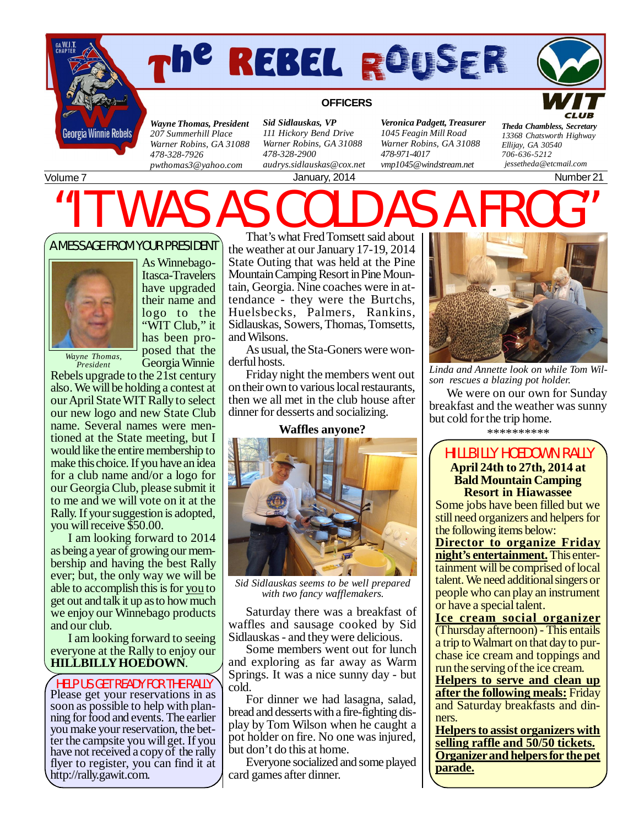

# *The Rebel Rouser Page*



### **OFFICERS**

*Wayne Thomas, President 207 Summerhill Place Warner Robins, GA 31088 478-328-7926 [pwthomas3@yahoo.com](mailto:pwthomas3@yahoo.com)*

*Sid Sidlauskas, VP 111 Hickory Bend Drive Warner Robins, GA 31088 478-328-2900 [audrys.sidlauskas@cox.net](mailto:audrys.sidlauskas@cox.net)*

January, 2014 **Number 21** 

*Veronica Padgett, Treasurer 1045 Feagin Mill Road Warner Robins, GA 31088 478-971-4017 [vmp1045@windstream.net](mailto:vmp1045@windstream.net)*

*Theda Chambless, Secretary 13368 Chatsworth Highway Ellijay, GA 30540 706-636-5212 [jessetheda@etcmail.com](mailto:jessetheda@etcmail.com)*

Volume 7

# $MAS$  A

A MESSAGE FROM YOUR PRESIDENT



As Winnebago-Itasca-Travelers have upgraded their name and logo to the "WIT Club," it has been proposed that the Georgia Winnie

*Wayne Thomas, President*

Rebels upgrade to the 21st century also. We will be holding a contest at our April State WIT Rally to select our new logo and new State Club name. Several names were mentioned at the State meeting, but I would like the entire membership to make this choice. If you have an idea for a club name and/or a logo for our Georgia Club, please submit it to me and we will vote on it at the Rally. If your suggestion is adopted, you will receive \$50.00.

I am looking forward to 2014 as being a year of growing our membership and having the best Rally ever; but, the only way we will be able to accomplish this is for you to get out and talk it up as to how much we enjoy our Winnebago products and our club.

I am looking forward to seeing everyone at the Rally to enjoy our **HILLBILLY HOEDOWN**.

Please get your reservations in as soon as possible to help with planning for food and events. The earlier you make your reservation, the better the campsite you will get. If you have not received a copy of the rally flyer to register, you can find it at <http://rally.gawit.com.> HELP US GET READY FOR THE RALLY

That's what Fred Tomsett said about the weather at our January 17-19, 2014 State Outing that was held at the Pine Mountain Camping Resort in Pine Mountain, Georgia. Nine coaches were in attendance - they were the Burtchs, Huelsbecks, Palmers, Rankins, Sidlauskas, Sowers, Thomas, Tomsetts, and Wilsons.

As usual, the Sta-Goners were wonderful hosts.

Friday night the members went out on their own to various local restaurants, then we all met in the club house after dinner for desserts and socializing.

#### **Waffles anyone?**



*Sid Sidlauskas seems to be well prepared with two fancy wafflemakers.*

Saturday there was a breakfast of waffles and sausage cooked by Sid Sidlauskas - and they were delicious.

Some members went out for lunch and exploring as far away as Warm Springs. It was a nice sunny day - but cold.

For dinner we had lasagna, salad, bread and desserts with a fire-fighting display by Tom Wilson when he caught a pot holder on fire. No one was injured, but don't do this at home.

Everyone socialized and some played card games after dinner.



*Linda and Annette look on while Tom Wilson rescues a blazing pot holder.*

We were on our own for Sunday breakfast and the weather was sunny but cold for the trip home.

\*\*\*\*\*\*\*\*\*\*

### HILLBILLY HOEDOWN RALLY **April 24th to 27th, 2014 at Bald Mountain Camping Resort in Hiawassee**

Some jobs have been filled but we still need organizers and helpers for the following items below:

**Director to organize Friday night's entertainment.** This entertainment will be comprised of local talent. We need additional singers or people who can play an instrument or have a special talent.

**Ice cream social organizer** (Thursday afternoon) - This entails a trip to Walmart on that day to purchase ice cream and toppings and run the serving of the ice cream.

**Helpers to serve and clean up after the following meals:** Friday and Saturday breakfasts and dinners.

**Helpers to assist organizers with selling raffle and 50/50 tickets. Organizer and helpers for the pet parade.**